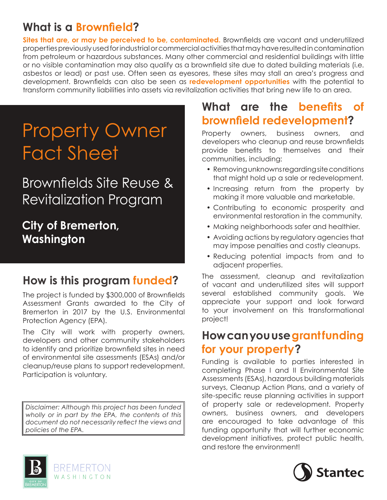## **What is a Brownfield?**

**Sites that are, or may be perceived to be, contaminated.** Brownfields are vacant and underutilized properties previously used for industrial or commercial activities that may have resulted in contamination from petroleum or hazardous substances. Many other commercial and residential buildings with little or no visible contamination may also qualify as a brownfield site due to dated building materials (i.e. asbestos or lead) or past use. Often seen as eyesores, these sites may stall an area's progress and development. Brownfields can also be seen as **redevelopment opportunities** with the potential to transform community liabilities into assets via revitalization activities that bring new life to an area.

# Property Owner Fact Sheet

## Brownfields Site Reuse & Revitalization Program

## **City of Bremerton, Washington**

## **How is this program funded?**

The project is funded by \$300,000 of Brownfields Assessment Grants awarded to the City of Bremerton in 2017 by the U.S. Environmental Protection Agency (EPA).

The City will work with property owners, developers and other community stakeholders to identify and prioritize brownfield sites in need of environmental site assessments (ESAs) and/or cleanup/reuse plans to support redevelopment. Participation is voluntary.

*Disclaimer: Although this project has been funded wholly or in part by the EPA, the contents of this document do not necessarily reflect the views and policies of the EPA.*

## **What are the benefits of brownfield redevelopment?**

Property owners, business owners, and developers who cleanup and reuse brownfields provide benefits to themselves and their communities, including:

- Removing unknowns regarding site conditions that might hold up a sale or redevelopment.
- Increasing return from the property by making it more valuable and marketable.
- Contributing to economic prosperity and environmental restoration in the community.
- Making neighborhoods safer and healthier.
- Avoiding actions by regulatory agencies that may impose penalties and costly cleanups.
- Reducing potential impacts from and to adjacent properties.

The assessment, cleanup and revitalization of vacant and underutilized sites will support several established community goals. We appreciate your support and look forward to your involvement on this transformational project!

### **How can you use grant funding for your property?**

Funding is available to parties interested in completing Phase I and II Environmental Site Assessments (ESAs), hazardous building materials surveys, Cleanup Action Plans, and a variety of site-specific reuse planning activities in support of property sale or redevelopment. Property owners, business owners, and developers are encouraged to take advantage of this funding opportunity that will further economic development initiatives, protect public health, and restore the environment!